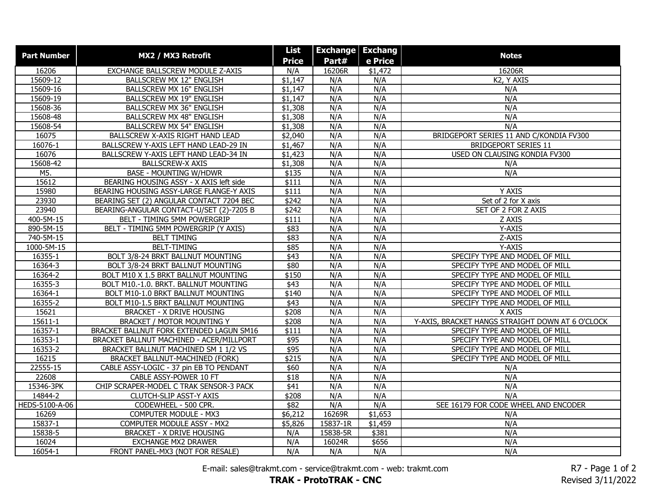| <b>Part Number</b> | MX2 / MX3 Retrofit                       | List         | <b>Exchange</b> | <b>Exchang</b> | <b>Notes</b>                                     |
|--------------------|------------------------------------------|--------------|-----------------|----------------|--------------------------------------------------|
|                    |                                          | <b>Price</b> | Part#           | e Price        |                                                  |
| 16206              | EXCHANGE BALLSCREW MODULE Z-AXIS         | N/A          | 16206R          | \$1,472        | 16206R                                           |
| 15609-12           | BALLSCREW MX 12" ENGLISH                 | \$1,147      | N/A             | N/A            | K2, Y AXIS                                       |
| 15609-16           | <b>BALLSCREW MX 16" ENGLISH</b>          | \$1,147      | N/A             | N/A            | N/A                                              |
| 15609-19           | BALLSCREW MX 19" ENGLISH                 | \$1,147      | N/A             | N/A            | N/A                                              |
| 15608-36           | BALLSCREW MX 36" ENGLISH                 | \$1,308      | N/A             | N/A            | N/A                                              |
| 15608-48           | <b>BALLSCREW MX 48" ENGLISH</b>          | \$1,308      | N/A             | N/A            | N/A                                              |
| 15608-54           | <b>BALLSCREW MX 54" ENGLISH</b>          | \$1,308      | N/A             | N/A            | N/A                                              |
| 16075              | BALLSCREW X-AXIS RIGHT HAND LEAD         | \$2,040      | N/A             | N/A            | BRIDGEPORT SERIES 11 AND C/KONDIA FV300          |
| 16076-1            | BALLSCREW Y-AXIS LEFT HAND LEAD-29 IN    | \$1,467      | N/A             | N/A            | <b>BRIDGEPORT SERIES 11</b>                      |
| 16076              | BALLSCREW Y-AXIS LEFT HAND LEAD-34 IN    | \$1,423      | N/A             | N/A            | USED ON CLAUSING KONDIA FV300                    |
| 15608-42           | <b>BALLSCREW-X AXIS</b>                  | \$1,308      | N/A             | N/A            | N/A                                              |
| M5.                | <b>BASE - MOUNTING W/HDWR</b>            | \$135        | N/A             | N/A            | N/A                                              |
| 15612              | BEARING HOUSING ASSY - X AXIS left side  | \$111        | N/A             | N/A            |                                                  |
| 15980              | BEARING HOUSING ASSY-LARGE FLANGE-Y AXIS | \$111        | N/A             | N/A            | Y AXIS                                           |
| 23930              | BEARING SET (2) ANGULAR CONTACT 7204 BEC | \$242        | N/A             | N/A            | Set of 2 for X axis                              |
| 23940              | BEARING-ANGULAR CONTACT-U/SET (2)-7205 B | \$242        | N/A             | N/A            | SET OF 2 FOR Z AXIS                              |
| 400-5M-15          | BELT - TIMING 5MM POWERGRIP              | \$111        | N/A             | N/A            | Z AXIS                                           |
| 890-5M-15          | BELT - TIMING 5MM POWERGRIP (Y AXIS)     | \$83         | N/A             | N/A            | Y-AXIS                                           |
| 740-5M-15          | <b>BELT TIMING</b>                       | \$83         | N/A             | N/A            | Z-AXIS                                           |
| 1000-5M-15         | <b>BELT-TIMING</b>                       | \$85         | N/A             | N/A            | Y-AXIS                                           |
| 16355-1            | BOLT 3/8-24 BRKT BALLNUT MOUNTING        | \$43         | N/A             | N/A            | SPECIFY TYPE AND MODEL OF MILL                   |
| 16364-3            | BOLT 3/8-24 BRKT BALLNUT MOUNTING        | \$80         | N/A             | N/A            | SPECIFY TYPE AND MODEL OF MILL                   |
| 16364-2            | BOLT M10 X 1.5 BRKT BALLNUT MOUNTING     | \$150        | N/A             | N/A            | SPECIFY TYPE AND MODEL OF MILL                   |
| 16355-3            | BOLT M10.-1.0. BRKT. BALLNUT MOUNTING    | $\sqrt{$43}$ | N/A             | N/A            | SPECIFY TYPE AND MODEL OF MILL                   |
| 16364-1            | BOLT M10-1.0 BRKT BALLNUT MOUNTING       | \$140        | N/A             | N/A            | SPECIFY TYPE AND MODEL OF MILL                   |
| 16355-2            | BOLT M10-1.5 BRKT BALLNUT MOUNTING       | \$43         | N/A             | N/A            | SPECIFY TYPE AND MODEL OF MILL                   |
| 15621              | <b>BRACKET - X DRIVE HOUSING</b>         | \$208        | N/A             | N/A            | X AXIS                                           |
| 15611-1            | <b>BRACKET / MOTOR MOUNTING Y</b>        | \$208        | N/A             | N/A            | Y-AXIS, BRACKET HANGS STRAIGHT DOWN AT 6 O'CLOCK |
| 16357-1            | BRACKET BALLNUT FORK EXTENDED LAGUN SM16 | \$111        | N/A             | N/A            | SPECIFY TYPE AND MODEL OF MILL                   |
| 16353-1            | BRACKET BALLNUT MACHINED - ACER/MILLPORT | \$95         | N/A             | N/A            | SPECIFY TYPE AND MODEL OF MILL                   |
| 16353-2            | BRACKET BALLNUT MACHINED SM 1 1/2 VS     | \$95         | N/A             | N/A            | SPECIFY TYPE AND MODEL OF MILL                   |
| 16215              | BRACKET BALLNUT-MACHINED (FORK)          | \$215        | N/A             | N/A            | SPECIFY TYPE AND MODEL OF MILL                   |
| 22555-15           | CABLE ASSY-LOGIC - 37 pin EB TO PENDANT  | \$60         | N/A             | N/A            | N/A                                              |
| 22608              | CABLE ASSY-POWER 10 FT                   | \$18         | N/A             | N/A            | N/A                                              |
| 15346-3PK          | CHIP SCRAPER-MODEL C TRAK SENSOR-3 PACK  | \$41         | N/A             | N/A            | N/A                                              |
| 14844-2            | CLUTCH-SLIP ASST-Y AXIS                  | \$208        | N/A             | N/A            | N/A                                              |
| HEDS-5100-A-06     | CODEWHEEL - 500 CPR.                     | \$82         | N/A             | N/A            | SEE 16179 FOR CODE WHEEL AND ENCODER             |
| 16269              | <b>COMPUTER MODULE - MX3</b>             | \$6,212      | 16269R          | \$1,653        | N/A                                              |
| 15837-1            | COMPUTER MODULE ASSY - MX2               | \$5,826      | 15837-1R        | \$1,459        | N/A                                              |
| 15838-5            | <b>BRACKET - X DRIVE HOUSING</b>         | N/A          | 15838-5R        | \$381          | N/A                                              |
| 16024              | <b>EXCHANGE MX2 DRAWER</b>               | N/A          | 16024R          | \$656          | N/A                                              |
| 16054-1            | FRONT PANEL-MX3 (NOT FOR RESALE)         | N/A          | N/A             | N/A            | N/A                                              |

E-mail: sales@trakmt.com - service@trakmt.com - web: trakmt.com